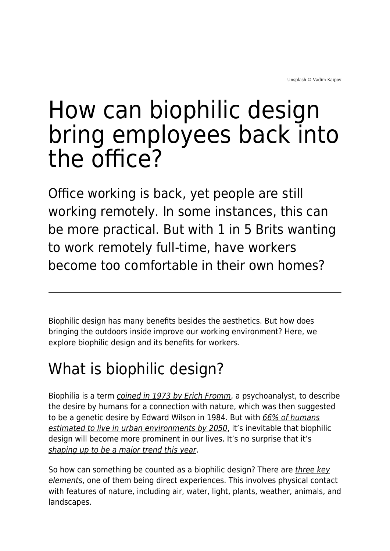## How can biophilic design bring employees back into the office?

Office working is back, yet people are still working remotely. In some instances, this can be more practical. But with 1 in 5 Brits wanting to work remotely full-time, have workers become too comfortable in their own homes?

Biophilic design has many benefits besides the aesthetics. But how does bringing the outdoors inside improve our working environment? Here, we explore biophilic design and its benefits for workers.

## What is biophilic design?

Biophilia is a term [coined in 1973 by Erich Fromm](https://www.britannica.com/science/biophilia-hypothesis), a psychoanalyst, to describe the desire by humans for a connection with nature, which was then suggested to be a genetic desire by Edward Wilson in 1984. But with [66% of humans](https://www.bdcnetwork.com/blog/biophilic-design-what-it-why-it-matters-and-how-do-we-use-it) [estimated to live in urban environments by 2050](https://www.bdcnetwork.com/blog/biophilic-design-what-it-why-it-matters-and-how-do-we-use-it), it's inevitable that biophilic design will become more prominent in our lives. It's no surprise that it's [shaping up to be a major trend this year](https://inhabitat.com/how-to-bring-biophilic-design-inside-your-home-in-2022/#:~:text=Biophilic%20design%20is%20the%20primary%20design%20trend%20for%202022.,-How%20to%20bring).

So how can something be counted as a biophilic design? There are [three key](https://www.barbuliannodesign.com/post/what-are-biophilic-design-elements) [elements](https://www.barbuliannodesign.com/post/what-are-biophilic-design-elements), one of them being direct experiences. This involves physical contact with features of nature, including air, water, light, plants, weather, animals, and landscapes.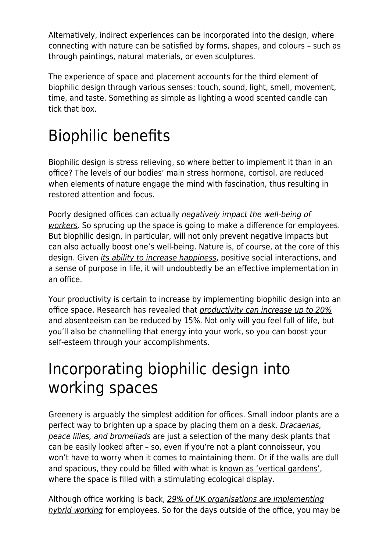Alternatively, indirect experiences can be incorporated into the design, where connecting with nature can be satisfied by forms, shapes, and colours – such as through paintings, natural materials, or even sculptures.

The experience of space and placement accounts for the third element of biophilic design through various senses: touch, sound, light, smell, movement, time, and taste. Something as simple as lighting a wood scented candle can tick that box.

## Biophilic benefits

Biophilic design is stress relieving, so where better to implement it than in an office? The levels of our bodies' main stress hormone, cortisol, are reduced when elements of nature engage the mind with fascination, thus resulting in restored attention and focus.

Poorly designed offices can actually [negatively impact the well-being of](https://benjohnson.co.uk/interiors/knowledge/the-impact-of-bad-office-design-on-employee-stress-levels/) [workers](https://benjohnson.co.uk/interiors/knowledge/the-impact-of-bad-office-design-on-employee-stress-levels/). So sprucing up the space is going to make a difference for employees. But biophilic design, in particular, will not only prevent negative impacts but can also actually boost one's well-being. Nature is, of course, at the core of this design. Given [its ability to increase happiness](https://www.apa.org/monitor/2020/04/nurtured-nature#:~:text=In%20a%20review%20of%20the%20research%2C%20Gregory%20Bratman%2C%20PhD%2C,meaning%20and%20purpose%20in%20life%2C), positive social interactions, and a sense of purpose in life, it will undoubtedly be an effective implementation in an office.

Your productivity is certain to increase by implementing biophilic design into an office space. Research has revealed that *[productivity can increase up to 20%](https://www.peldonrose.com/news-insight/features/guest-blog-biophilic-design-increases-employee-productivity-by-20/#:~:text=This%20is%20where%20biophilia%20has,reduce%20absenteeism%20by%2015%25%2C%20a)* and absenteeism can be reduced by 15%. Not only will you feel full of life, but you'll also be channelling that energy into your work, so you can boost your self-esteem through your accomplishments.

## Incorporating biophilic design into working spaces

Greenery is arguably the simplest addition for offices. Small indoor plants are a perfect way to brighten up a space by placing them on a desk. *Dracaenas*, [peace lilies, and bromeliads](https://www.ambius.co.uk/blog/top-10-best-plants-for-your-desk-at-work/) are just a selection of the many desk plants that can be easily looked after – so, even if you're not a plant connoisseur, you won't have to worry when it comes to maintaining them. Or if the walls are dull and spacious, they could be filled with what is [known as 'vertical gardens'](https://vantagespaces.co.uk/office-green-walls/), where the space is filled with a stimulating ecological display.

Although office working is back, [29% of UK organisations are implementing](https://www.businessleader.co.uk/are-uk-companies-still-committing-to-hybrid-working-models/) [hybrid working](https://www.businessleader.co.uk/are-uk-companies-still-committing-to-hybrid-working-models/) for employees. So for the days outside of the office, you may be